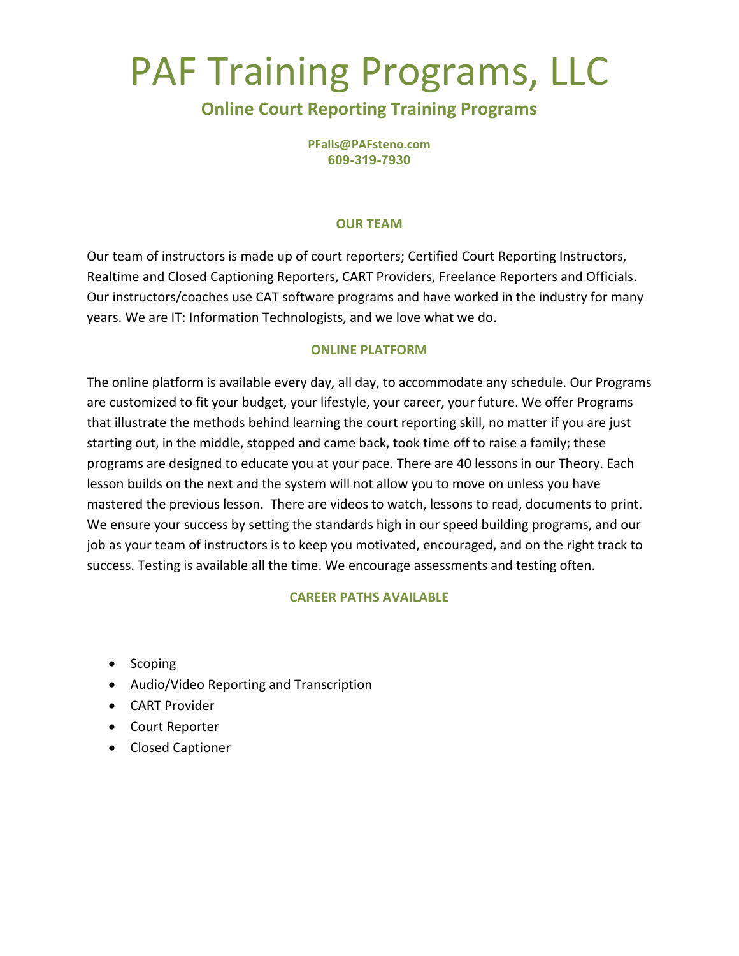## PAF Training Programs, LLC

### **Online Court Reporting Training Programs**

**PFalls@PAFsteno.com 609-319-7930**

#### **OUR TEAM**

Our team of instructors is made up of court reporters; Certified Court Reporting Instructors, Realtime and Closed Captioning Reporters, CART Providers, Freelance Reporters and Officials. Our instructors/coaches use CAT software programs and have worked in the industry for many years. We are IT: Information Technologists, and we love what we do.

#### **ONLINE PLATFORM**

The online platform is available every day, all day, to accommodate any schedule. Our Programs are customized to fit your budget, your lifestyle, your career, your future. We offer Programs that illustrate the methods behind learning the court reporting skill, no matter if you are just starting out, in the middle, stopped and came back, took time off to raise a family; these programs are designed to educate you at your pace. There are 40 lessons in our Theory. Each lesson builds on the next and the system will not allow you to move on unless you have mastered the previous lesson. There are videos to watch, lessons to read, documents to print. We ensure your success by setting the standards high in our speed building programs, and our job as your team of instructors is to keep you motivated, encouraged, and on the right track to success. Testing is available all the time. We encourage assessments and testing often.

#### **CAREER PATHS AVAILABLE**

- Scoping
- Audio/Video Reporting and Transcription
- CART Provider
- Court Reporter
- Closed Captioner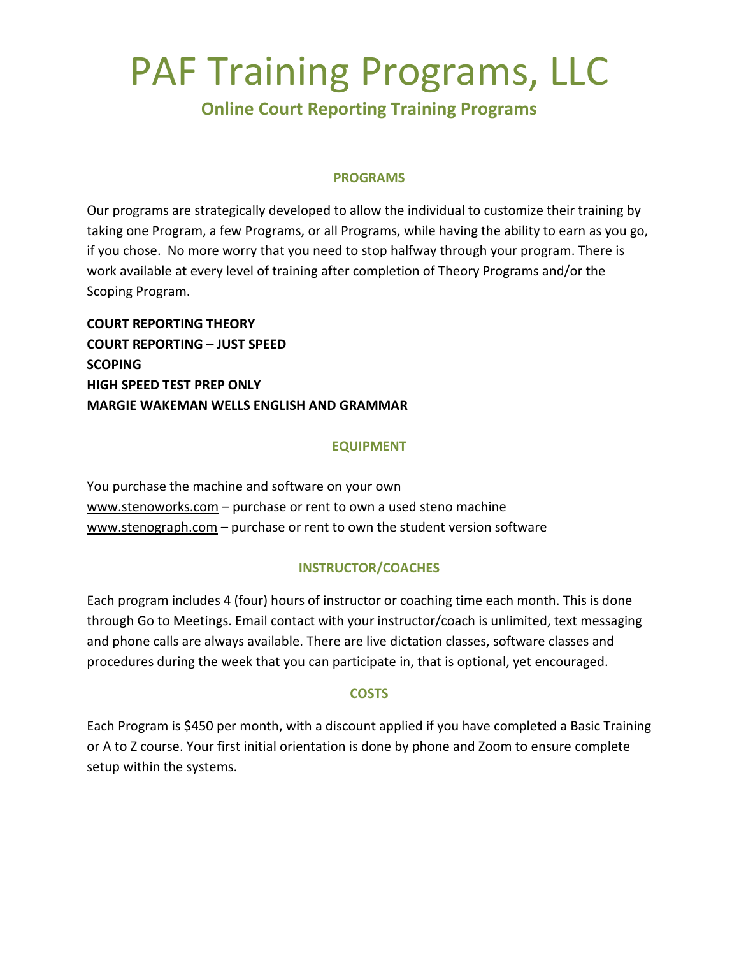## PAF Training Programs, LLC

### **Online Court Reporting Training Programs**

#### **PROGRAMS**

Our programs are strategically developed to allow the individual to customize their training by taking one Program, a few Programs, or all Programs, while having the ability to earn as you go, if you chose. No more worry that you need to stop halfway through your program. There is work available at every level of training after completion of Theory Programs and/or the Scoping Program.

**COURT REPORTING THEORY COURT REPORTING – JUST SPEED SCOPING HIGH SPEED TEST PREP ONLY MARGIE WAKEMAN WELLS ENGLISH AND GRAMMAR**

#### **EQUIPMENT**

You purchase the machine and software on your own [www.stenoworks.com](http://www.stenoworks.com/) – purchase or rent to own a used steno machine [www.stenograph.com](http://www.stenograph.com/) – purchase or rent to own the student version software

#### **INSTRUCTOR/COACHES**

Each program includes 4 (four) hours of instructor or coaching time each month. This is done through Go to Meetings. Email contact with your instructor/coach is unlimited, text messaging and phone calls are always available. There are live dictation classes, software classes and procedures during the week that you can participate in, that is optional, yet encouraged.

#### **COSTS**

Each Program is \$450 per month, with a discount applied if you have completed a Basic Training or A to Z course. Your first initial orientation is done by phone and Zoom to ensure complete setup within the systems.